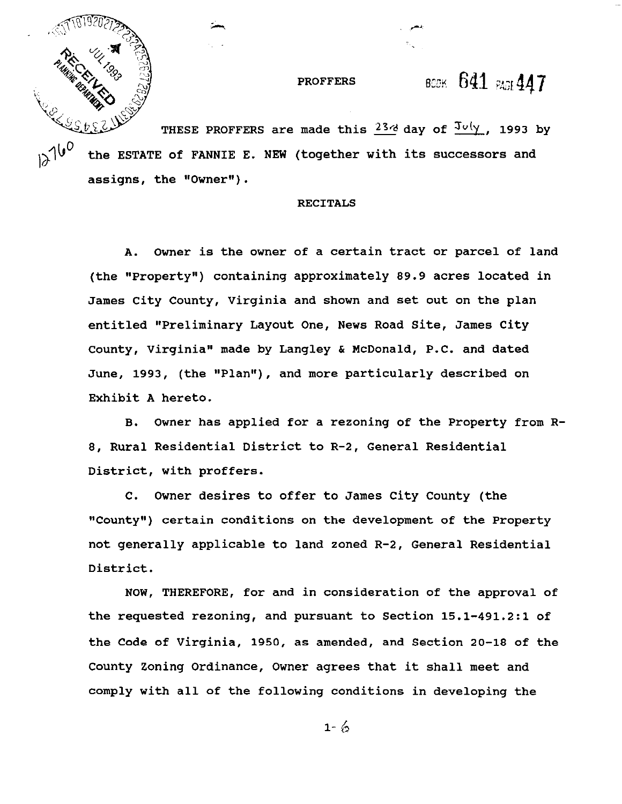**PROFFERS** 

# BOOK 641 PAGE 447

THESE PROFFERS are made this  $23d$  day of  $3\omega/\gamma$ , 1993 by the ESTATE of FANNIE E. NEW (together with its successors and assigns, the "Owner") .

## RECITALS

A. Owner is the owner of a certain tract or parcel of land (the "Property") containing approximately **89.9** acres located in James City County, Virginia and shown and set out on the plan entitled "Preliminary Layout One, News Road Site, James City County, Virginia" made by Langley & McDonald, P.C. and dated June, 1993, (the "Plan"), and more particularly described on Exhibit **A** hereto.

B. Owner has applied for a rezoning of the Property from R-**8,** Rural Residential District to R-2, General Residential District, with proffers.

C. Owner desires to offer to James City County (the "County") certain conditions on the development of the Property not generally applicable to land zoned R-2, General Residential District.

NOW, THEREFORE, for and in consideration of the approval of the requested rezoning, and pursuant to Section **15.1-491.2:l** of the Code of Virginia, **1950,** as amended, and Section **20-18** of the County Zoning Ordinance, Owner agrees that it shall meet and comply with all of the following conditions in developing the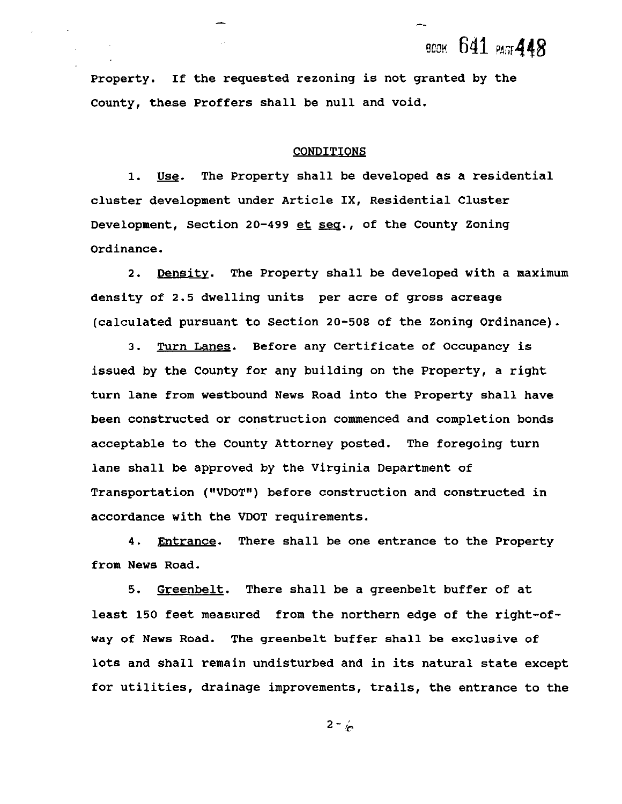всек 641 раз 448

Property. If the requested rezoning is not granted by the County, these Proffers shall be null and void.

### CONDITIONS

Use. The Property shall be developed as a residential  $1.$ cluster development under Article IX, Residential Cluster Development, Section **20-499** et seq., of the County Zoning Ordinance.

2. Density. The Property shall be developed with a maximum density of 2.5 dwelling units per acre of gross acreage (calculated pursuant to Section **20-508** of the Zoning Ordinance).

3. Turn Lanes. Before any Certificate of Occupancy is issued by the County for any building on the Property, a right turn lane from westbound News Road into the Property shall have been constructed or construction commenced and completion bonds acceptable to the County Attorney posted. The foregoing turn lane shall be approved by the Virginia Department of Transportation ("VDOT") before construction and constructed in accordance with the VDOT requirements.

**4.** Entrance. There shall be one entrance to the Property from News Road.

**5.** Greenbelt. There shall be a greenbelt buffer of at least **150** feet measured from the northern edge of the right-ofway of News Road. The greenbelt buffer shall be exclusive of lots and shall remain undisturbed and in its natural state except for utilities, drainage improvements, trails, the entrance to the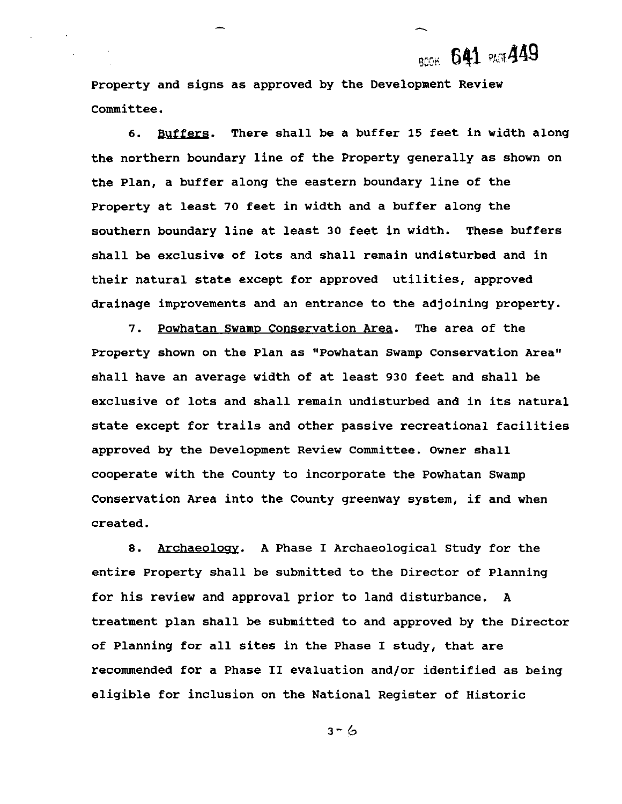**BOOK 641 PAGE 449** 

**Property and signs as approved by the Development Review Committee.** 

**6. Buffers. There shall be a buffer 15 feet in width along the northern boundary line of the Property generally as shown on the Plan, a buffer along the eastern boundary line of the Property at least 70 feet in width and a buffer along the southern boundary line at least 30 feet in width. These buffers shall be exclusive of lots and shall remain undisturbed and in their natural state except for approved utilities, approved drainage improvements and an entrance to the adjoining property.** 

7. Powhatan Swamp Conservation Area. The area of the **Property shown on the Plan as "Powhatan Swamp Conservation Area" shall have an average width of at least 930 feet and shall be exclusive of lots and shall remain undisturbed and in its natural state except for trails and other passive recreational facilities approved by the Development Review Committee. Owner shall cooperate with the County to incorporate the Powhatan Swamp Conservation Area into the County greenway system, if and when created.** 

**8. Archaeolosy. A Phase I Archaeological Study for the entire Property shall be submitted to the Director of Planning for his review and approval prior to land disturbance. A treatment plan shall be submitted to and approved by the Director of Planning for all sites in the Phase I study, that are recommended for a Phase I1 evaluation and/or identified as being eligible for inclusion on the National Register of Historic**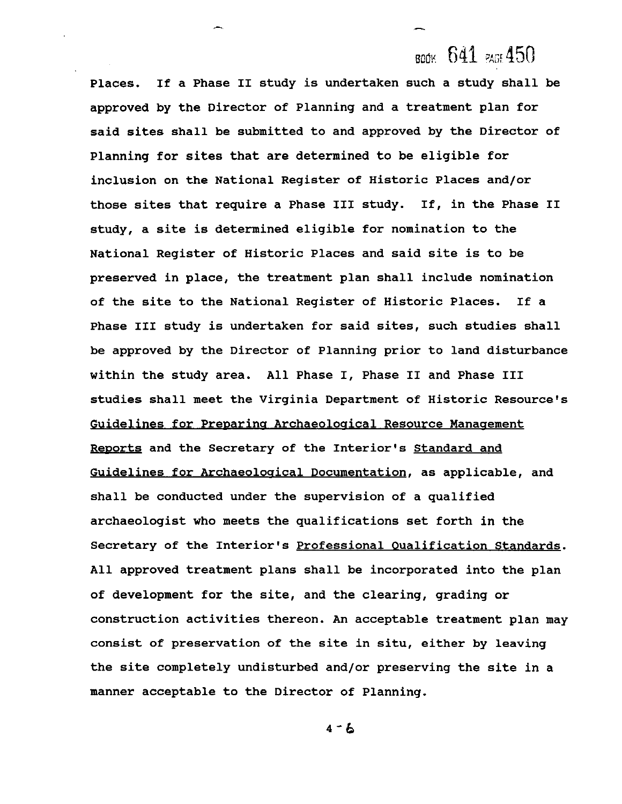**Places. If a Phase I1 study is undertaken such a study shall approved by the Director of Planning and a treatment plan for said sites shall be submitted to and approved by the Director Planning for sites that are determined to be eligible for inclusion on the National Register of Historic Places and/or those sites that require a Phase I11 study. If, in the Phase study, a site is determined eligible for nomination to the National Register of Historic Places and said site is to be preserved in place, the treatment plan shall include nomination of the site to the National Register of Historic Places. If a Phase I11 study is undertaken for said sites, such studies shall be approved by the Director of Planning prior to land disturbance within the study area. All Phase I, Phase I1 and Phase I11 studies shall meet the Virginia Department of Historic Resource's Example 12** a Final method is undertaken such a study shall be approved by the Director of Planning and a treatment plan for exaid sites shall be submitted to and approved by the Director of Planning for sites that are de Reports and the Secretary of the Interior's Standard and Guidelines for Archaeological Documentation, as applicable, and **shall be conducted under the supervision of a qualified archaeologist who meets the qualifications set forth in the Secretary of the Interior's Professional Qualification Standards. All approved treatment plans shall be incorporated into the plan of development for the site, and the clearing, grading or construction activities thereon. An acceptable treatment plan may consist of preservation of the site in situ, either by leaving the site completely undisturbed and/or preserving the site in a manner acceptable to the Director of Planning.**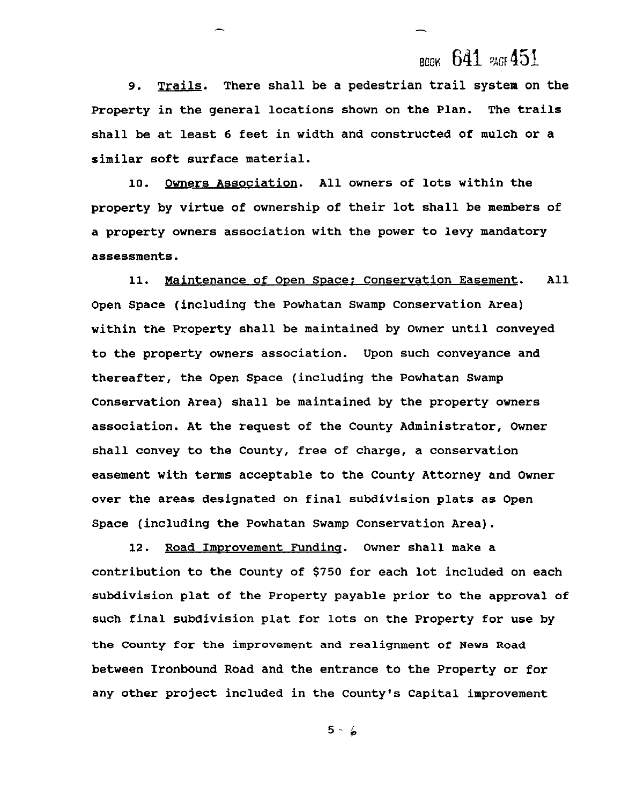## всек 641 РАСЕ 451

9. Trails. There shall be a pedestrian trail system on the Property in the general locations shown on the Plan. The trails shall be at least 6 feet in width and constructed of mulch or a similar soft surface material.

10. Owners Association. All owners of lots within the property by virtue of ownership of their lot shall be members of a property owners association with the power to levy mandatory assessments.

11. Maintenance of Open Space: Conservation Easement. All Open Space (including the Powhatan Swamp Conservation Area) within the Property shall be maintained by Owner until conveyed to the property owners association. Upon such conveyance and thereafter, the Open Space (including the Powhatan Swamp Conservation Area) shall be maintained by the property owners association. At the request of the County Administrator, Owner shall convey to the County, free of charge, a conservation easement with terms acceptable to the County Attorney and Owner over the areas designated on final subdivision plats as Open Space (including the Powhatan Swamp Conservation Area).

12. Road Improvement Funding. Owner shall make a contribution to the County of **\$750** for each lot included on each subdivision plat of the Property payable prior to the approval of such final subdivision plat for lots on the Property for use by the County for the improvement and realignment of News Road between Ironbound Road and the entrance to the Property or for any other project included in the County's Capital improvement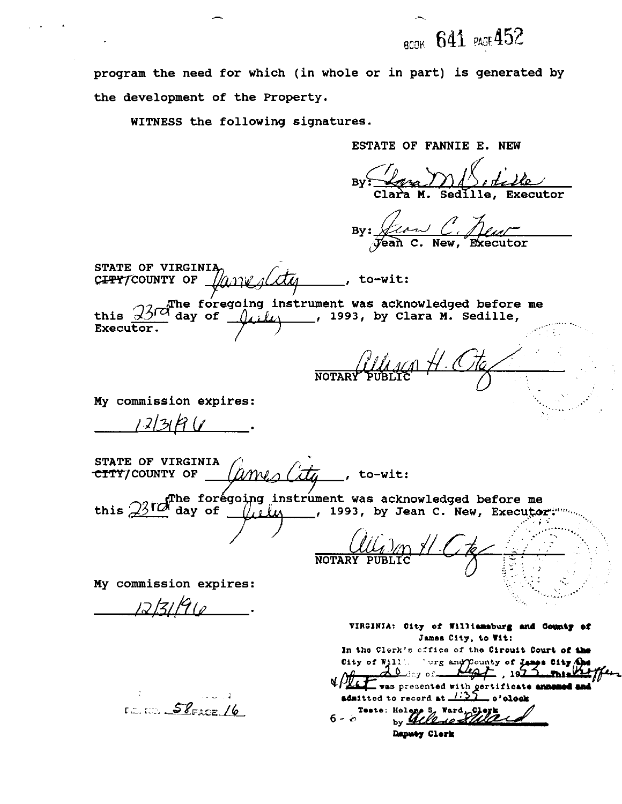**BCOK 641 PAGE 452** 

**program the need for which (in whole or in part) is generated by the development of the Property.** 

**WITNESS the following signatures.** 

**ESTATE OF FANNIE E. NEW**   $\mathcal{L}_{\mathcal{L}}$   $\mathcal{L}$ By: *Ana* Sedille, Executor By: *Lion C. Just* **STATE OF VIRGINIA** CIPY/COUNTY OF  $\sqrt{a_{11}v_{1}}$  (*CLA*) . to-wit: **he foregoing instrument was acknowledged before me**  $\alpha$  day of  $\beta$ ,  $\ell$ ,  $\alpha$  , 1993, by Clara M. Sedille, **this '93&day** , **of** ?+- , **1993, by Clara M. Sedille, Executor. NOTARY My commission expires:**   $123R$ **STATE OF VIRGINIA CITY**/COUNTY OF *(ames City*, to-wit: this *23 TC* toregoing instrument was acknowledged before me **and the forest of the part of the secure of the sout NOTARY My commission expires:**  */2,/?//?* **(d**  VIRGINIA: City of Williamsburg and County of **James City, to Wit:**  In the Clerk's cffice of the Cirouit Court of the City of Will. Narg and County of James City and <u>20 de</u>y of \_  $\mathfrak{p}_+$  , 19 $\mathfrak{p}_-$ This **uhlet** was presented with certificate announced and<br>admitted to record at 1:35 o'olook:<br>presections of the second by **Bell** and the second by **Bell** and **by**  $E = 52$ FACE /6  $6 - 6$ Daputy Clerk